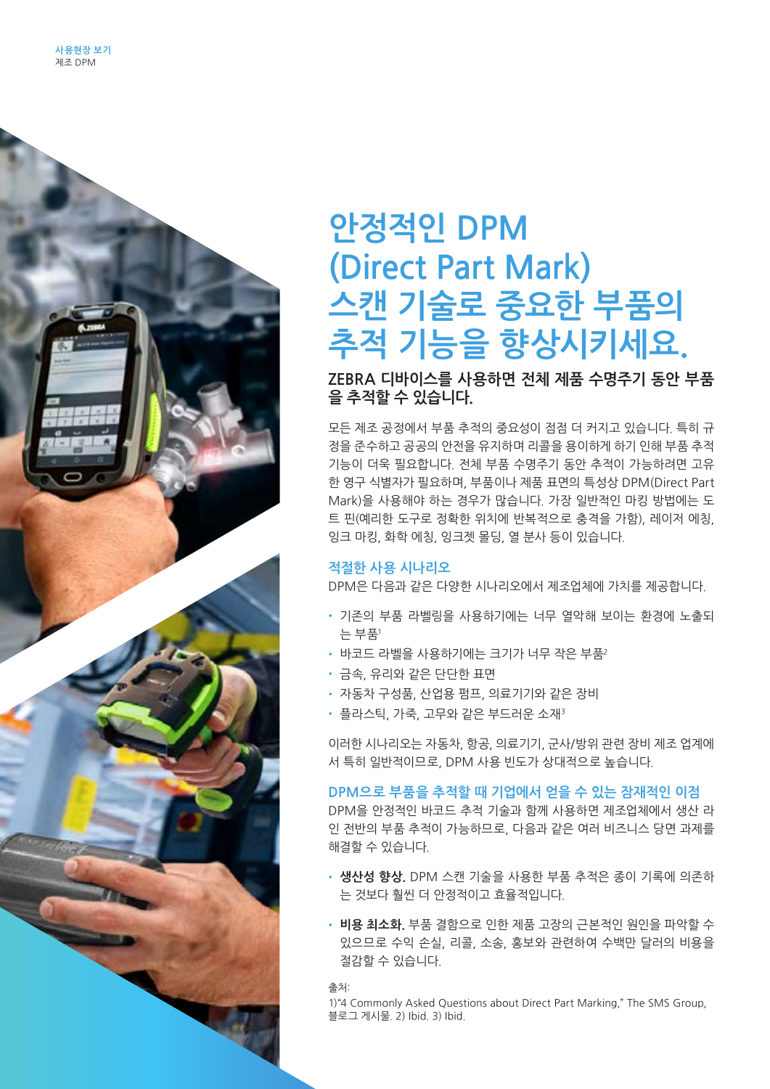

## 안정적인 DPM **(Direct Part Mark) 스캔 기술로 중요한 부품의**  <mark>추적 기능을 향상시키세요.</mark> .<br>스캐 기숙로 <u>주유하 부</u>푸이 주식 기둥줄 앙상시기**시**

ZEBRA 디바이스를 사용하면 전체 제품 수명주기 동안 부품 을 추적할 수 있습니다.

모든 제조 공정에서 부품 추적의 중요성이 점점 더 커지고 있습니다. 특히 규 정을 준수하고 공공의 안전을 유지하며 리콜을 용이하게 하기 인해 부품 추적 기능이 더욱 필요합니다. 전체 부품 수명주기 동안 추적이 가능하려면 고유 한 영구 식별자가 필요하며, 부품이나 제품 표면의 특성상 DPM(Direct Part Mark)을 사용해야 하는 경우가 많습니다. 가장 일반적인 마킹 방법에는 도 트 핀(예리한 도구로 정확한 위치에 반복적으로 충격을 가함), 레이저 에칭, 잉크 마킹, 화학 에칭, 잉크젯 몰딩, 열 분사 등이 있습니다.<br>-

### <mark>적절한 사용 시나리오</mark>

DPM은 다음과 같은 다양한 시나리오에서 제조업체에 가치를 제공합니다.

- 기존의 부품 라벨링을 사용하기에는 너무 열악해 보이는 환경에 노출되 는 부품<sup>1</sup> harsh for traditional part labeling1 • 기준의 구굼 다필링글 시용이기에는 나구 될<br>2008년  $\mathbb{H}^2$  - Hard surfaces such as metals and glass and glass and glass and glass and glass and glass and glass and glass and glass and glass and glass and glass and glass and glass and glass and glass and glass and glass
- 바코드 라벨을 사용하기에는 크기가 너무 작은 부품 $^{\rm 2}$
- 금속, 유리와 같은 단단한 표면
- 자동차 구성품, 산업용 펌프, 의료기기와 같은 장비
- $\bm{\cdot}$  플라스틱, 가죽, 고무와 같은 부드러운 소재 $^3$

이러한 시나리오는 자동차, 항공, 의료기기, 군사/방위 관련 장비 제조 업계에 서 특히 일반적이므로, DPM 사용 빈도가 상대적으로 높습니다. manufacturing industries, their use of DPM is relatively high.

### **DPM으로 부품을 추적할 때 기업에서 얻을 수 있는 잠재적인 이점 The potential business benefits of tracking parts with DPM** WHA COMBINED WITH RELIABLE TRACKING TECHNOLOGY<br>DPM helps through the barcode technology, DPM helps the contract that the contract of the contract of the contra

DPM을 안정적인 바코드 추적 기술과 함께 사용하면 제조업체에서 생산 라 인 전반의 부품 추적이 가능하므로, 다음과 같은 여러 비즈니스 당면 과제를 해결할 수 있습니다. manufacturers achieve parts traceability and way to the production of the production of production of productio<br>The production of production of production of production of production of production of production of producti

- **생산성 향상.** DPM 스캔 기술을 사용한 부품 추적은 종이 기록에 의존하 는 것보다 훨씬 더 안정적이고 효율적입니다.
- 비용 최소화. 부품 결함으로 인한 제품 고장의 근본적인 원인을 파악할 수 있으므로 수익 손실, 리콜, 소송, 홍보와 관련하여 수백만 달러의 비용을 due to a defective part—potentially saving millions in lost revenue, 절감할 수 있습니다. recalls, litigation and public relations costs.

출처: - 출처: The SMS Group, Asked Questions about Direct Part Marking, The SMS Group, The SMS Group, The SMS Group, The SMS Group, The SMS Group, The SMS Group, The SMS Group, The SMS Group, The SMS Group, The SMS Group, The SMS

1) "4 Commonly Asked Questions about Direct Part Marking," The SMS Group, 블로그 게시물. 2) Ibid. 3) Ibid.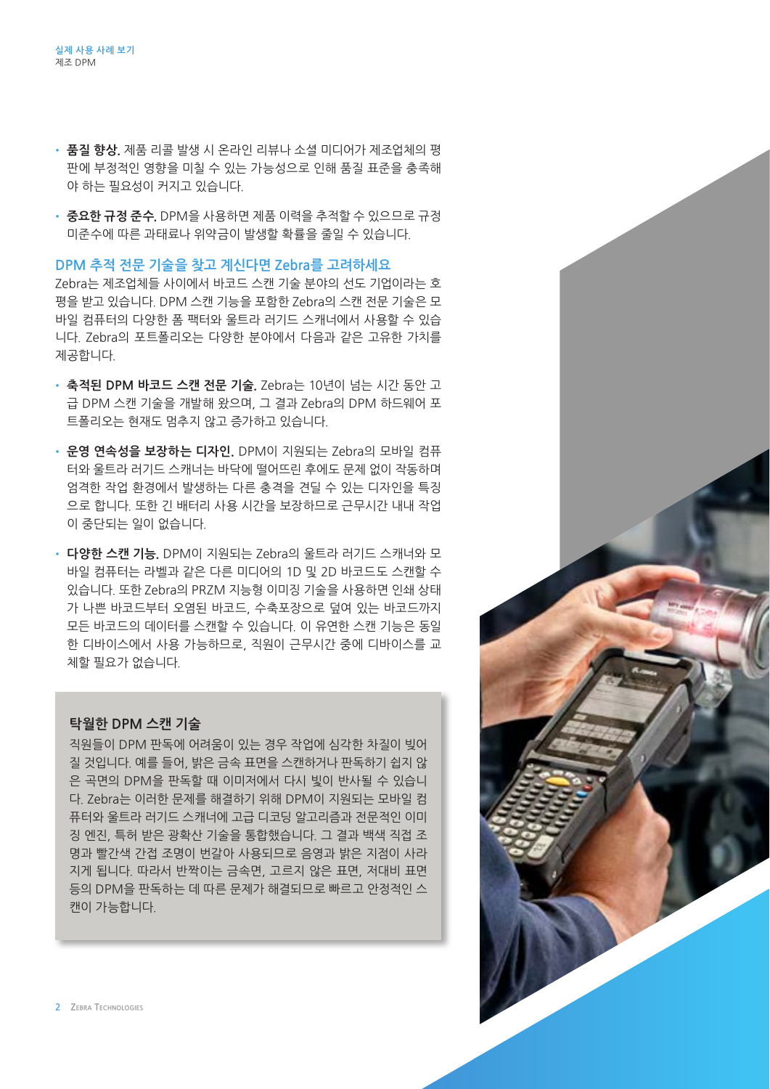- **품질 향상.** 제품 리콜 발생 시 온라인 리뷰나 소셜 미디어가 제조업체의 평 판에 부정적인 영향을 미칠 수 있는 가능성으로 인해 품질 표준을 충족해 야 하는 필요성이 커지고 있습니다. product recall.
- **중요한 규정 준수.** DPM을 사용하면 제품 이력을 추적할 수 있으므로 규정 ► S표현 Ⅱ S 또구. 이 'M를 적 S 에는 제품 의 국을 구 국을 구 있는ㅡ<del>ㅜ</del> ㅠ<br>미준수에 따른 과태료나 위약금이 발생할 확률을 줄일 수 있습니다. 비군구에 딱근 팍데표닥 귀착ᆷ의 달짱을 퐉뀰글 놀을 구 잤답되다.<br>-

## $DPM \overset{\bullet}{\rightarrow} \mathbb{Z}$  기준을 찾고 계신다면 Zebra를 고려하세요

Zebra는 제조업체들 사이에서 바코드 스캔 기술 분야의 선도 기업이라는 <mark>호</mark> 평을 받고 있습니다. DPM 스캔 기능을 포함한 Zebra의 스캔 전문 기술은 모 바일 컴퓨터의 다양한 폼 팩터와 울트라 러기드 스캐너에서 사용할 수 있습 니다. Zebra의 포트폴리오는 다양한 분야에서 다음과 같은 고유한 가치를 제공합니다. computer form factors and ultra-rugged scanners. Our portfolio offers

- **축적된 DPM 바코드 스캔 전문 기술.** Zebra는 10년이 넘는 시간 동안 고 급 DPM 스캔 기술을 개발해 왔으며, 그 결과 Zebra의 DPM 하드웨어 포 트폴리오는 현재도 멈추지 않고 증가하고 있습니다. unique value in several areas: years—and our DPM hardware portfolio is growing.
- **운영 연속성을 보장하는 디자인.** DPM이 지원되는 Zebra의 모바일 컴퓨<br>- 기업 요즘과 같은드 / 웹사 WELSLER (SLER) 호텔로 모델 SLAL 같든 Tap 터와 울트라 러기드 스캐너는 바닥에 떨어뜨린 후에도 문제 없이 작동하며 엄격한 작업 환경에서 발생하는 다른 충격을 견딜 수 있는 디자인을 특징 으로 합니다. 또한 긴 배터리 사용 시간을 보장하므로 근무시간 내내 작업 이 중단되는 일이 없습니다.
- 다양한 스캔 기능. DPM이 지원되는 Zebra의 울트라 러기드 스캐너와 모 . . ㅎㄷ ̄ㄷ . .ㅎ.<br>바일 컴퓨터는 라벨과 같은 다른 미디어의 1D 및 2D 바코드도 스캔할 수 있습니다. 또한 Zebra의 PRZM 지능형 이미징 기술을 사용하면 인쇄 상태 가 나쁜 바코드부터 오염된 바코드, 수축포장으로 덮여 있는 바코드까지 모든 바코드의 데이터를 스캔할 수 있습니다. 이 유연한 스캔 기능은 동일 한 디바이스에서 사용 가능하므로, 직원이 근무시간 중에 디바이스를 교 체할 필요가 없습니다. - 그 큰 그리고 그 근처 같은 그는 그 그의 가기 보기 것 같아 가스스스 스런글 T<br>- 이 사 나라 또 같은 사는 이 아이가 있는 것 아이가 있지요. 이 이 아이가 있네 사 해

### <mark>탁월한 DPM 스캔 기술</mark> Major discussed workers when you

직원들이 DPM 판독에 어려움이 있는 경우 작업에 심각한 차질이 빚어 have difficulty reading DPM. For example, light reflecting back - TOL TIP IMM LITH IT THE IT WALK ON THE INDIT ON HIGHT ON B<br>질 것입니다. 예를 들어, 밝은 금속 표면을 스캔하거나 판독하기 쉽지 않 는 것을 구표하는 문 가 되는 몸 구구단을 구단하거나는 구하기를 구경<br>은 곡면의 DPM을 판독할 때 이미저에서 다시 빛이 반사될 수 있습니 는 그는데 BTM를 만나를 해결하기 위해 TPP을 한 만나를 두 있습니<br>다. Zebra는 이러한 문제를 해결하기 위해 DPM이 지원되는 모바일 컴 미. 2006년 이미는 라케를 해결하기 위해 DTM의 시설되는 소리를 돕<br>퓨터와 울트라 러기드 스캐너에 고급 디코딩 알고리즘과 전문적인 이미 징 엔진, 특허 받은 광확산 기술을 통합했습니다. 그 결과 백색 직접 조<br>-명과 빨간색 간접 조명이 번갈아 사용되므로 음영과 밝은 <mark>지</mark>점이 사라 지게 됩니다. 따라서 반짝이는 금속면, 고르지 않은 표면, 저대비 표면 등의 DPM을 판독하는 데 따른 문제가 해결되므로 빠르고 안정적인 스 캔이 가능합니다. mobile computers and ultra-rugged scanners to overcome this.

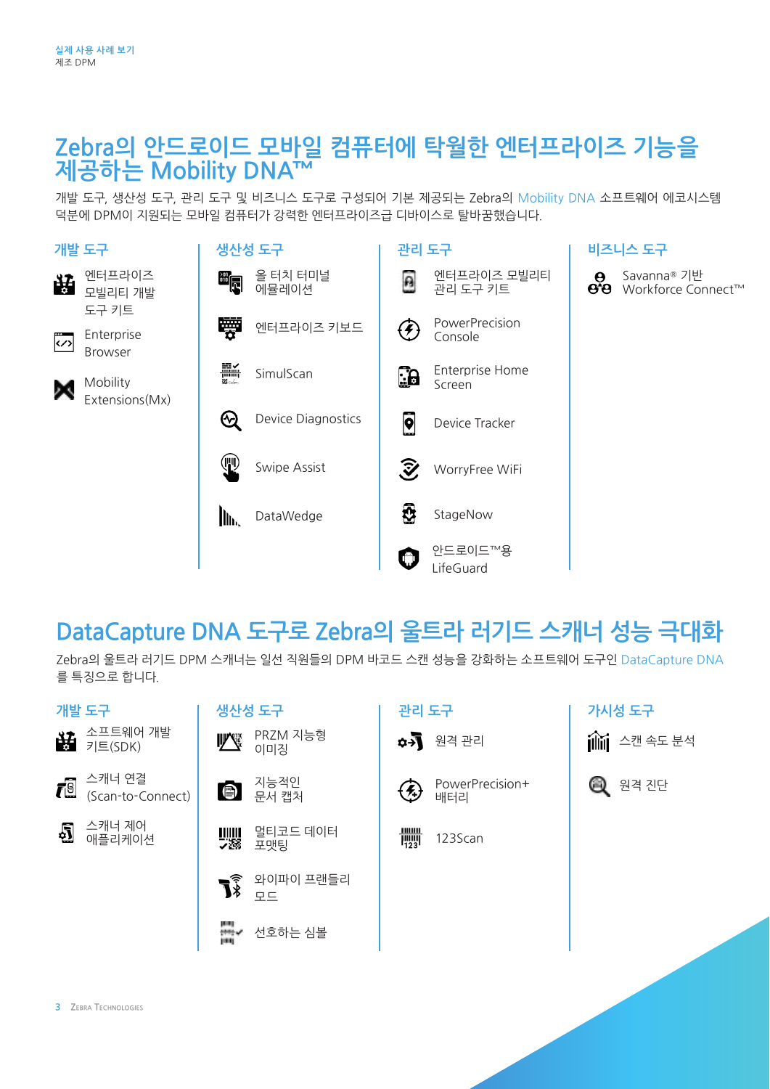## Zebra의 안드로이드 모바일 컴퓨터에 탁월한 엔터프라이즈 기능을<br>제공하는 Mobility DNA™ <mark>제공하는 Mobility DNA™</mark>

개발 도구, 생산성 도구, 관리 도구 및 비즈니스 도구로 구성되어 기본 제공되는 Zebra의 [Mobility DNA](https://www.zebra.com/us/en/products/software/mobile-computers/mobility-dna.html) 소프트웨어 에코시스템<br>덕분에 DPM이 지원되는 모바일 컴퓨터가 강력한 엔터프라이즈급 디바이스로 탈바꿈했습니다. 덕분에 DPM이 지원되는 모바일 컴퓨터가 강력한 엔터프라이즈급 디바이스로 탈바꿈했습니다.





Enterprise<br>B Browser Enterprise Browser Enterprise Browser Enterprise Browser



Mobility Mobility Mobility Mobility Extensions(Mx) Extensions (Mx) Mobility Extensions (Mx) Extensions (Mx) Mobility Extensions (Mx)



Savanna® 기반 Savanna® 기반<br>Workforce Connect™

### **DataCapture DNA 도구로 Zebra의 울트라 러기드 스캐너 성능 극대화 DataCapture DNA tools maximize Zebra ultra-rugged**  -<br><mark>DataCapture DNA 도구로 Zebra의 울트라 러기드 스캐너 *l*</mark> bataCapture DNA 도<sub>그</sub> **DataCapture DNA tools maximize Zebra ultra-rugged**  <mark>DataCapture DNA 노</mark> **DataCapture DNA tools maximize Zebra ultra-rugged**  <mark>DataCapture DNA 노</mark>

Zebra의 울트라 러기드 DPM 스캐너는 일선 직원들의 DPM 바코드 스캔 성능을 강화하는 소프트웨어 도구인 DataCapture DNA 를 특징으로 합니다.

| 개발 도구                                                   | 생산성 도구                                                      | 관리 도구                         | 가시성 도구       |
|---------------------------------------------------------|-------------------------------------------------------------|-------------------------------|--------------|
| ₩ 소프트웨어 개발<br>₩ 키트(SDK)                                 | PRZM 지능형<br><b>ILL Contract</b><br>이미징                      | ✿→ 원격관리                       | 111 스캔 속도 분석 |
| 스캐너 연결<br>$\vec{r}$ <sup>[6]</sup><br>(Scan-to-Connect) | 지능적인<br>문서 캡처<br>$\bullet$                                  | PowerPrecision+<br>⊕<br>배터리   | Q<br>원격 진단   |
| 스캐너 제어<br>₫<br>애플리케이션                                   | 멀티코드 데이터<br>포맷팅                                             | $\frac{111}{1123}$<br>123Scan |              |
|                                                         | 와이파이 프랜들리<br>$\vec{J}$<br>$\Box \Box$                       |                               |              |
|                                                         | H.<br>선호하는 심볼<br>$\frac{1}{2}$ and $\frac{1}{2}$<br>1991 13 |                               |              |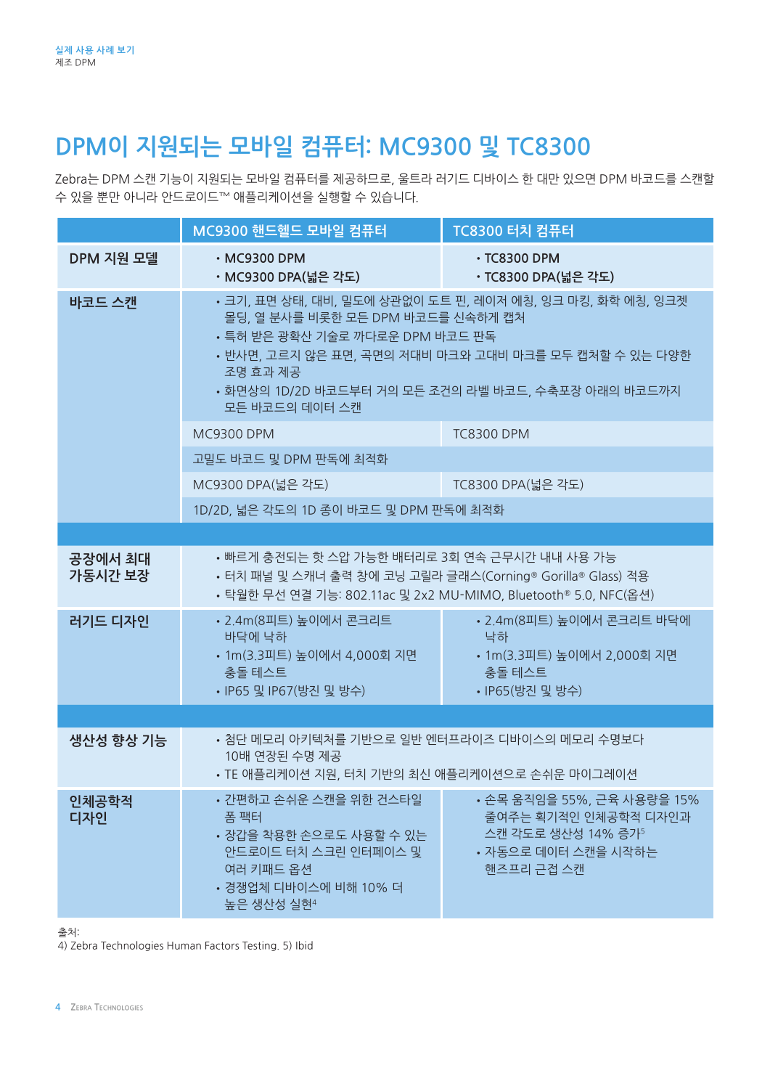# **DPM이 지원되는 모바일 컴퓨터: MC9300 및 TC8300**

Zebra는 DPM 스캔 기능이 지원되는 모바일 컴퓨터를 제공하므로, 울트라 러기드 디바이스 한 대만 있으면 DPM 바코드를 스캔할 수 있을 뿐만 아니라 안드로이드™ 애플리케이션을 실행할 수 있습니다.

|                    | MC9300 핸드헬드 모바일 컴퓨터                                                                                                                                                                                                                                                             | TC8300 터치 컴퓨터                                                                                                 |  |  |
|--------------------|---------------------------------------------------------------------------------------------------------------------------------------------------------------------------------------------------------------------------------------------------------------------------------|---------------------------------------------------------------------------------------------------------------|--|--|
| DPM 지원 모델          | $\cdot$ MC9300 DPM<br>• MC9300 DPA(넓은 각도)                                                                                                                                                                                                                                       | $\cdot$ TC8300 DPM<br>・TC8300 DPA(넓은 각도)                                                                      |  |  |
| 바코드 스캔             | • 크기, 표면 상태, 대비, 밀도에 상관없이 도트 핀, 레이저 에칭, 잉크 마킹, 화학 에칭, 잉크젯<br>몰딩, 열 분사를 비롯한 모든 DPM 바코드를 신속하게 캡처<br>• 특허 받은 광확산 기술로 까다로운 DPM 바코드 판독<br>• 반사면, 고르지 않은 표면, 곡면의 저대비 마크와 고대비 마크를 모두 캡처할 수 있는 다양한<br>조명 효과 제공<br>• 화면상의 1D/2D 바코드부터 거의 모든 조건의 라벨 바코드, 수축포장 아래의 바코드까지<br>모든 바코드의 데이터 스캔 |                                                                                                               |  |  |
|                    | <b>MC9300 DPM</b>                                                                                                                                                                                                                                                               | <b>TC8300 DPM</b>                                                                                             |  |  |
|                    | 고밀도 바코드 및 DPM 판독에 최적화                                                                                                                                                                                                                                                           |                                                                                                               |  |  |
|                    | MC9300 DPA(넓은 각도)                                                                                                                                                                                                                                                               | TC8300 DPA(넓은 각도)                                                                                             |  |  |
|                    | 1D/2D, 넓은 각도의 1D 종이 바코드 및 DPM 판독에 최적화                                                                                                                                                                                                                                           |                                                                                                               |  |  |
|                    |                                                                                                                                                                                                                                                                                 |                                                                                                               |  |  |
| 공장에서 최대<br>가동시간 보장 | • 빠르게 충전되는 핫 스압 가능한 배터리로 3회 연속 근무시간 내내 사용 가능<br>• 터치 패널 및 스캐너 출력 창에 코닝 고릴라 글래스(Corning® Gorilla® Glass) 적용<br>• 탁월한 무선 연결 기능: 802.11ac 및 2x2 MU-MIMO, Bluetooth® 5.0, NFC(옵션)                                                                                                   |                                                                                                               |  |  |
| 러기드 디자인            | • 2.4m(8피트) 높이에서 콘크리트<br>바닥에 낙하<br>• 1m(3.3피트) 높이에서 4,000회 지면<br>충돌 테스트<br>• IP65 및 IP67(방진 및 방수)                                                                                                                                                                               | • 2.4m(8피트) 높이에서 콘크리트 바닥에<br>낙하<br>• 1m(3.3피트) 높이에서 2,000회 지면<br>충돌 테스트<br>• IP65(방진 및 방수)                    |  |  |
|                    |                                                                                                                                                                                                                                                                                 |                                                                                                               |  |  |
| 생산성 향상 기능          | • 첨단 메모리 아키텍처를 기반으로 일반 엔터프라이즈 디바이스의 메모리 수명보다<br>10배 연장된 수명 제공<br>• TE 애플리케이션 지원, 터치 기반의 최신 애플리케이션으로 손쉬운 마이그레이션                                                                                                                                                                  |                                                                                                               |  |  |
| 인체공학적<br>디자인       | • 간편하고 손쉬운 스캔을 위한 건스타일<br>폼 팩터<br>• 장갑을 착용한 손으로도 사용할 수 있는<br>안드로이드 터치 스크린 인터페이스 및<br>여러 키패드 옵션<br>• 경쟁업체 디바이스에 비해 10% 더<br>높은 생산성 실현 <sup>4</sup>                                                                                                                               | • 손목 움직임을 55%, 근육 사용량을 15%<br>줄여주는 획기적인 인체공학적 디자인과<br>스캔 각도로 생산성 14% 증가5<br>• 자동으로 데이터 스캔을 시작하는<br>핸즈프리 근접 스캔 |  |  |

출처:

4) Zebra Technologies Human Factors Testing. 5) Ibid